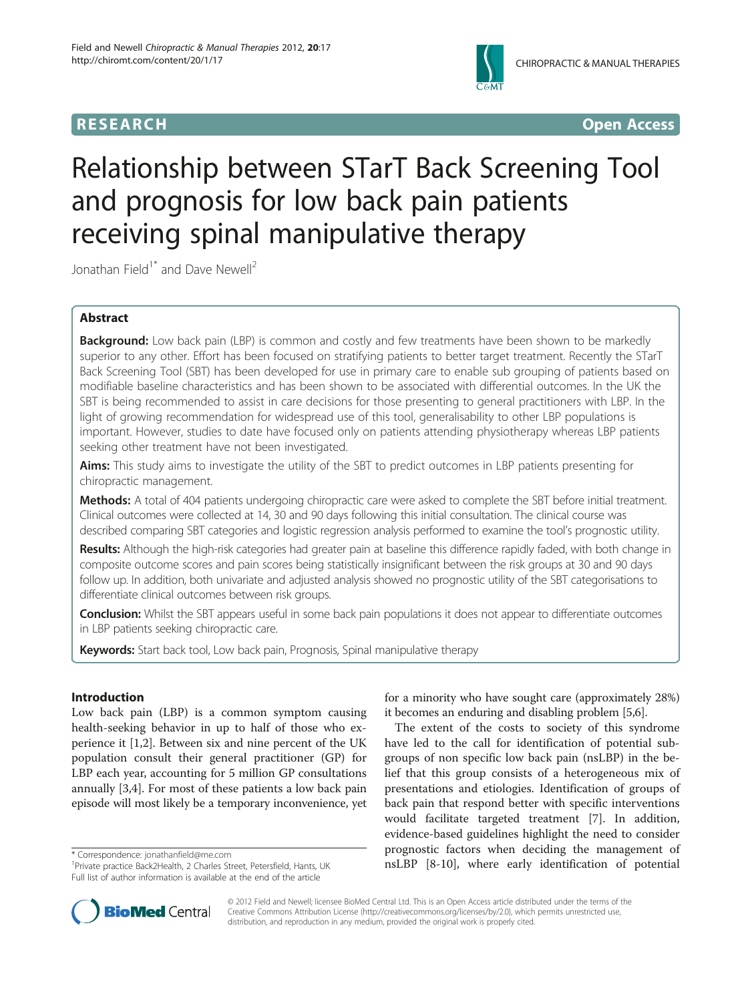# **RESEARCH CHINESE ARCH CHINESE ARCH CHINESE ARCH**



# Relationship between STarT Back Screening Tool and prognosis for low back pain patients receiving spinal manipulative therapy

Jonathan Field<sup>1\*</sup> and Dave Newell<sup>2</sup>

## Abstract

Background: Low back pain (LBP) is common and costly and few treatments have been shown to be markedly superior to any other. Effort has been focused on stratifying patients to better target treatment. Recently the STarT Back Screening Tool (SBT) has been developed for use in primary care to enable sub grouping of patients based on modifiable baseline characteristics and has been shown to be associated with differential outcomes. In the UK the SBT is being recommended to assist in care decisions for those presenting to general practitioners with LBP. In the light of growing recommendation for widespread use of this tool, generalisability to other LBP populations is important. However, studies to date have focused only on patients attending physiotherapy whereas LBP patients seeking other treatment have not been investigated.

Aims: This study aims to investigate the utility of the SBT to predict outcomes in LBP patients presenting for chiropractic management.

Methods: A total of 404 patients undergoing chiropractic care were asked to complete the SBT before initial treatment. Clinical outcomes were collected at 14, 30 and 90 days following this initial consultation. The clinical course was described comparing SBT categories and logistic regression analysis performed to examine the tool's prognostic utility.

Results: Although the high-risk categories had greater pain at baseline this difference rapidly faded, with both change in composite outcome scores and pain scores being statistically insignificant between the risk groups at 30 and 90 days follow up. In addition, both univariate and adjusted analysis showed no prognostic utility of the SBT categorisations to differentiate clinical outcomes between risk groups.

**Conclusion:** Whilst the SBT appears useful in some back pain populations it does not appear to differentiate outcomes in LBP patients seeking chiropractic care.

**Keywords:** Start back tool, Low back pain, Prognosis, Spinal manipulative therapy

### Introduction

Low back pain (LBP) is a common symptom causing health-seeking behavior in up to half of those who experience it [[1,2\]](#page-6-0). Between six and nine percent of the UK population consult their general practitioner (GP) for LBP each year, accounting for 5 million GP consultations annually [\[3,4](#page-6-0)]. For most of these patients a low back pain episode will most likely be a temporary inconvenience, yet

for a minority who have sought care (approximately 28%) it becomes an enduring and disabling problem [\[5,6\]](#page-6-0).

The extent of the costs to society of this syndrome have led to the call for identification of potential subgroups of non specific low back pain (nsLBP) in the belief that this group consists of a heterogeneous mix of presentations and etiologies. Identification of groups of back pain that respond better with specific interventions would facilitate targeted treatment [\[7](#page-6-0)]. In addition, evidence-based guidelines highlight the need to consider prognostic factors when deciding the management of \* Correspondence: [jonathanfield@me.com](mailto:jonathanfield@me.com) **1989**<br>
<sup>1</sup> Private practice Back2Health, 2 Charles Street, Petersfield, Hants, UK **1988** ISLBP [\[8](#page-6-0)-[10\]](#page-6-0), where early identification of potential



© 2012 Field and Newell; licensee BioMed Central Ltd. This is an Open Access article distributed under the terms of the Creative Commons Attribution License (<http://creativecommons.org/licenses/by/2.0>), which permits unrestricted use, distribution, and reproduction in any medium, provided the original work is properly cited.

Private practice Back2Health, 2 Charles Street, Petersfield, Hants, UK Full list of author information is available at the end of the article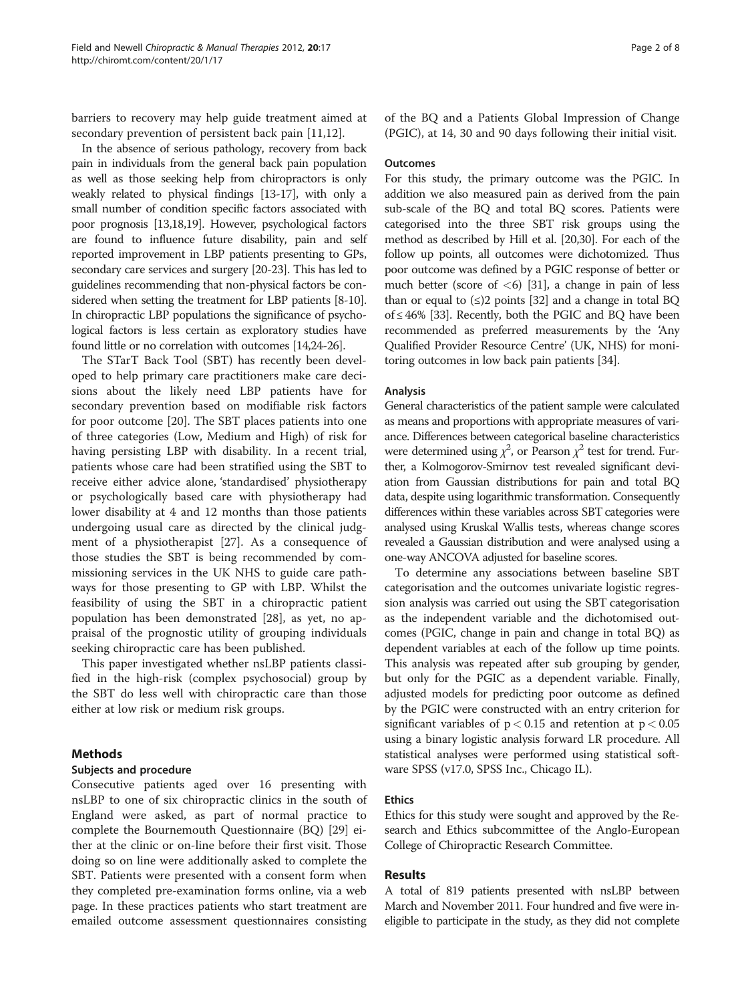barriers to recovery may help guide treatment aimed at secondary prevention of persistent back pain [\[11,12\]](#page-6-0).

In the absence of serious pathology, recovery from back pain in individuals from the general back pain population as well as those seeking help from chiropractors is only weakly related to physical findings [\[13-17](#page-6-0)], with only a small number of condition specific factors associated with poor prognosis [[13,18,19](#page-6-0)]. However, psychological factors are found to influence future disability, pain and self reported improvement in LBP patients presenting to GPs, secondary care services and surgery [\[20-23\]](#page-6-0). This has led to guidelines recommending that non-physical factors be considered when setting the treatment for LBP patients [[8-10](#page-6-0)]. In chiropractic LBP populations the significance of psychological factors is less certain as exploratory studies have found little or no correlation with outcomes [\[14,24-26\]](#page-6-0).

The STarT Back Tool (SBT) has recently been developed to help primary care practitioners make care decisions about the likely need LBP patients have for secondary prevention based on modifiable risk factors for poor outcome [\[20](#page-6-0)]. The SBT places patients into one of three categories (Low, Medium and High) of risk for having persisting LBP with disability. In a recent trial, patients whose care had been stratified using the SBT to receive either advice alone, 'standardised' physiotherapy or psychologically based care with physiotherapy had lower disability at 4 and 12 months than those patients undergoing usual care as directed by the clinical judgment of a physiotherapist [[27\]](#page-6-0). As a consequence of those studies the SBT is being recommended by commissioning services in the UK NHS to guide care pathways for those presenting to GP with LBP. Whilst the feasibility of using the SBT in a chiropractic patient population has been demonstrated [\[28\]](#page-7-0), as yet, no appraisal of the prognostic utility of grouping individuals seeking chiropractic care has been published.

This paper investigated whether nsLBP patients classified in the high-risk (complex psychosocial) group by the SBT do less well with chiropractic care than those either at low risk or medium risk groups.

#### Methods

#### Subjects and procedure

Consecutive patients aged over 16 presenting with nsLBP to one of six chiropractic clinics in the south of England were asked, as part of normal practice to complete the Bournemouth Questionnaire (BQ) [\[29](#page-7-0)] either at the clinic or on-line before their first visit. Those doing so on line were additionally asked to complete the SBT. Patients were presented with a consent form when they completed pre-examination forms online, via a web page. In these practices patients who start treatment are emailed outcome assessment questionnaires consisting of the BQ and a Patients Global Impression of Change (PGIC), at 14, 30 and 90 days following their initial visit.

#### **Outcomes**

For this study, the primary outcome was the PGIC. In addition we also measured pain as derived from the pain sub-scale of the BQ and total BQ scores. Patients were categorised into the three SBT risk groups using the method as described by Hill et al. [\[20,](#page-6-0)[30](#page-7-0)]. For each of the follow up points, all outcomes were dichotomized. Thus poor outcome was defined by a PGIC response of better or much better (score of  $\lt 6$ ) [[31](#page-7-0)], a change in pain of less than or equal to  $(\leq)2$  points [\[32\]](#page-7-0) and a change in total BO of ≤ 46% [[33](#page-7-0)]. Recently, both the PGIC and BQ have been recommended as preferred measurements by the 'Any Qualified Provider Resource Centre' (UK, NHS) for monitoring outcomes in low back pain patients [\[34\]](#page-7-0).

#### Analysis

General characteristics of the patient sample were calculated as means and proportions with appropriate measures of variance. Differences between categorical baseline characteristics were determined using  $\chi^2$ , or Pearson  $\chi^2$  test for trend. Further, a Kolmogorov-Smirnov test revealed significant deviation from Gaussian distributions for pain and total BQ data, despite using logarithmic transformation. Consequently differences within these variables across SBT categories were analysed using Kruskal Wallis tests, whereas change scores revealed a Gaussian distribution and were analysed using a one-way ANCOVA adjusted for baseline scores.

To determine any associations between baseline SBT categorisation and the outcomes univariate logistic regression analysis was carried out using the SBT categorisation as the independent variable and the dichotomised outcomes (PGIC, change in pain and change in total BQ) as dependent variables at each of the follow up time points. This analysis was repeated after sub grouping by gender, but only for the PGIC as a dependent variable. Finally, adjusted models for predicting poor outcome as defined by the PGIC were constructed with an entry criterion for significant variables of  $p < 0.15$  and retention at  $p < 0.05$ using a binary logistic analysis forward LR procedure. All statistical analyses were performed using statistical software SPSS (v17.0, SPSS Inc., Chicago IL).

#### Ethics

Ethics for this study were sought and approved by the Research and Ethics subcommittee of the Anglo-European College of Chiropractic Research Committee.

#### Results

A total of 819 patients presented with nsLBP between March and November 2011. Four hundred and five were ineligible to participate in the study, as they did not complete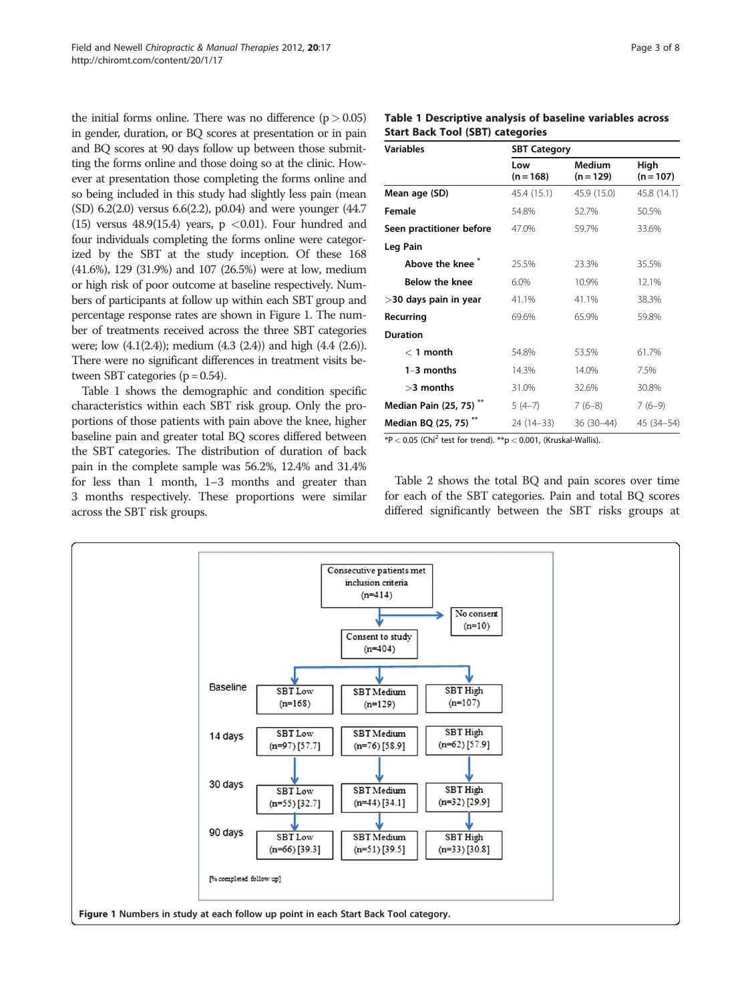the initial forms online. There was no difference  $(p > 0.05)$ in gender, duration, or BQ scores at presentation or in pain and BQ scores at 90 days follow up between those submitting the forms online and those doing so at the clinic. However at presentation those completing the forms online and so being included in this study had slightly less pain (mean (SD) 6.2(2.0) versus 6.6(2.2), p0.04) and were younger (44.7 (15) versus 48.9(15.4) years,  $p < 0.01$ ). Four hundred and four individuals completing the forms online were categorized by the SBT at the study inception. Of these 168 (41.6%), 129 (31.9%) and 107 (26.5%) were at low, medium or high risk of poor outcome at baseline respectively. Numbers of participants at follow up within each SBT group and percentage response rates are shown in Figure 1. The number of treatments received across the three SBT categories were; low (4.1(2.4)); medium (4.3 (2.4)) and high (4.4 (2.6)). There were no significant differences in treatment visits between SBT categories ( $p = 0.54$ ).

Table 1 shows the demographic and condition specific characteristics within each SBT risk group. Only the proportions of those patients with pain above the knee, higher baseline pain and greater total BQ scores differed between the SBT categories. The distribution of duration of back pain in the complete sample was 56.2%, 12.4% and 31.4% for less than 1 month, 1–3 months and greater than 3 months respectively. These proportions were similar across the SBT risk groups.

| Page 3 of 8 |  |  |  |
|-------------|--|--|--|
|-------------|--|--|--|

Table 1 Descriptive analysis of baseline variables across Start Back Tool (SBT) categories

| <b>Variables</b>         | <b>SBT Category</b> |                              |                     |  |  |
|--------------------------|---------------------|------------------------------|---------------------|--|--|
|                          | Low<br>$(n = 168)$  | <b>Medium</b><br>$(n = 129)$ | High<br>$(n = 107)$ |  |  |
| Mean age (SD)            | 45.4 (15.1)         | 45.9 (15.0)                  | 45.8 (14.1)         |  |  |
| Female                   | 54.8%               | 52.7%                        | 50.5%               |  |  |
| Seen practitioner before | 47.0%               | 59.7%                        | 33.6%               |  |  |
| Leg Pain                 |                     |                              |                     |  |  |
| Above the knee           | 25.5%               | 23.3%                        | 35.5%               |  |  |
| <b>Below the knee</b>    | 6.0%                | 10.9%                        | 12.1%               |  |  |
| $>$ 30 days pain in year | 41.1%               | 41.1%                        | 38.3%               |  |  |
| Recurring                | 69.6%               | 65.9%                        | 59.8%               |  |  |
| <b>Duration</b>          |                     |                              |                     |  |  |
| $<$ 1 month              | 54.8%               | 53.5%                        | 61.7%               |  |  |
| $1-3$ months             | 14.3%               | 14.0%                        | 7.5%                |  |  |
| $>3$ months              | 31.0%               | 32.6%                        | 30.8%               |  |  |
| Median Pain (25, 75)     | $5(4-7)$            | $7(6-8)$                     | $7(6-9)$            |  |  |
| Median BQ (25, 75)       | 24 (14 - 33)        | 36 (30-44)                   | 45 (34–54)          |  |  |

 $*P < 0.05$  (Chi<sup>2</sup> test for trend).  $*p < 0.001$ , (Kruskal-Wallis).

Table [2](#page-3-0) shows the total BQ and pain scores over time for each of the SBT categories. Pain and total BQ scores differed significantly between the SBT risks groups at

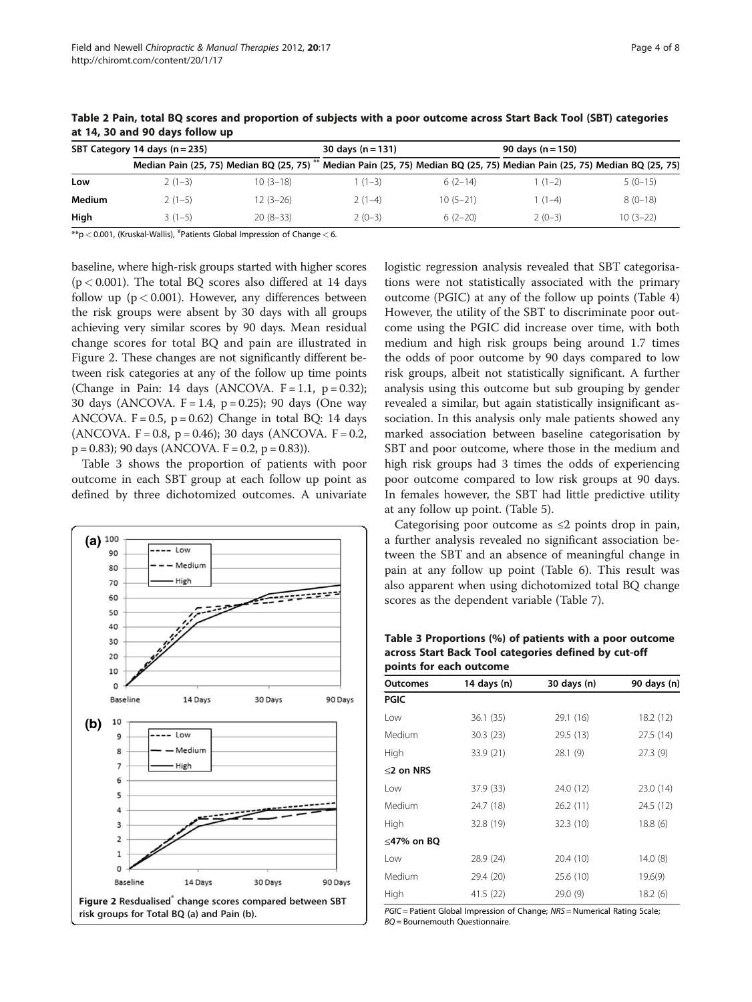|        | SBT Category 14 days $(n = 235)$ |                                              | 30 days $(n = 131)$ |                                                                                              | 90 days $(n = 150)$ |            |
|--------|----------------------------------|----------------------------------------------|---------------------|----------------------------------------------------------------------------------------------|---------------------|------------|
|        |                                  | Median Pain (25, 75) Median BQ (25, 75) ** K |                     | <sup>"</sup> Median Pain (25, 75) Median BQ (25, 75) Median Pain (25, 75) Median BQ (25, 75) |                     |            |
| Low    | $2(1-3)$                         | $10(3-18)$                                   | $1(1-3)$            | $6(2-14)$                                                                                    | $1(1-2)$            | $5(0-15)$  |
| Medium | $2(1-5)$                         | $12(3-26)$                                   | $2(1-4)$            | $10(5-21)$                                                                                   | $1(1-4)$            | $8(0-18)$  |
| High   | $3(1-5)$                         | $20(8-33)$                                   | $2(0-3)$            | $6(2-20)$                                                                                    | $2(0-3)$            | $10(3-22)$ |

<span id="page-3-0"></span>Table 2 Pain, total BQ scores and proportion of subjects with a poor outcome across Start Back Tool (SBT) categories at 14, 30 and 90 days follow up

 $^{**}$ p  $<$  0.001, (Kruskal-Wallis),  $^{*}$ Patients Global Impression of Change  $<$  6.

baseline, where high-risk groups started with higher scores  $(p < 0.001)$ . The total BQ scores also differed at 14 days follow up ( $p < 0.001$ ). However, any differences between the risk groups were absent by 30 days with all groups achieving very similar scores by 90 days. Mean residual change scores for total BQ and pain are illustrated in Figure 2. These changes are not significantly different between risk categories at any of the follow up time points (Change in Pain: 14 days (ANCOVA.  $F = 1.1$ ,  $p = 0.32$ ); 30 days (ANCOVA. F = 1.4, p = 0.25); 90 days (One way ANCOVA.  $F = 0.5$ ,  $p = 0.62$ ) Change in total BQ: 14 days (ANCOVA.  $F = 0.8$ ,  $p = 0.46$ ); 30 days (ANCOVA.  $F = 0.2$ ,  $p = 0.83$ ; 90 days (ANCOVA.  $F = 0.2$ ,  $p = 0.83$ ).

Table 3 shows the proportion of patients with poor outcome in each SBT group at each follow up point as defined by three dichotomized outcomes. A univariate



logistic regression analysis revealed that SBT categorisations were not statistically associated with the primary outcome (PGIC) at any of the follow up points (Table [4](#page-4-0)) However, the utility of the SBT to discriminate poor outcome using the PGIC did increase over time, with both medium and high risk groups being around 1.7 times the odds of poor outcome by 90 days compared to low risk groups, albeit not statistically significant. A further analysis using this outcome but sub grouping by gender revealed a similar, but again statistically insignificant association. In this analysis only male patients showed any marked association between baseline categorisation by SBT and poor outcome, where those in the medium and high risk groups had 3 times the odds of experiencing poor outcome compared to low risk groups at 90 days. In females however, the SBT had little predictive utility at any follow up point. (Table [5\)](#page-4-0).

Categorising poor outcome as ≤2 points drop in pain, a further analysis revealed no significant association between the SBT and an absence of meaningful change in pain at any follow up point (Table [6](#page-4-0)). This result was also apparent when using dichotomized total BQ change scores as the dependent variable (Table [7](#page-5-0)).

Table 3 Proportions (%) of patients with a poor outcome across Start Back Tool categories defined by cut-off points for each outcome

| Outcomes     | 14 days (n) | 30 days (n) | 90 days (n) |
|--------------|-------------|-------------|-------------|
| <b>PGIC</b>  |             |             |             |
| Low          | 36.1 (35)   | 29.1 (16)   | 18.2 (12)   |
| Medium       | 30.3 (23)   | 29.5 (13)   | 27.5 (14)   |
| High         | 33.9 (21)   | 28.1(9)     | 27.3(9)     |
| $<$ 2 on NRS |             |             |             |
| Low          | 37.9 (33)   | 24.0 (12)   | 23.0 (14)   |
| Medium       | 24.7 (18)   | 26.2(11)    | 24.5 (12)   |
| High         | 32.8 (19)   | 32.3 (10)   | 18.8(6)     |
| ≤47% on BQ   |             |             |             |
| Low          | 28.9 (24)   | 20.4 (10)   | 14.0(8)     |
| Medium       | 29.4 (20)   | 25.6 (10)   | 19.6(9)     |
| High         | 41.5 (22)   | 29.0 (9)    | 18.2(6)     |

PGIC = Patient Global Impression of Change; NRS = Numerical Rating Scale; BQ = Bournemouth Questionnaire.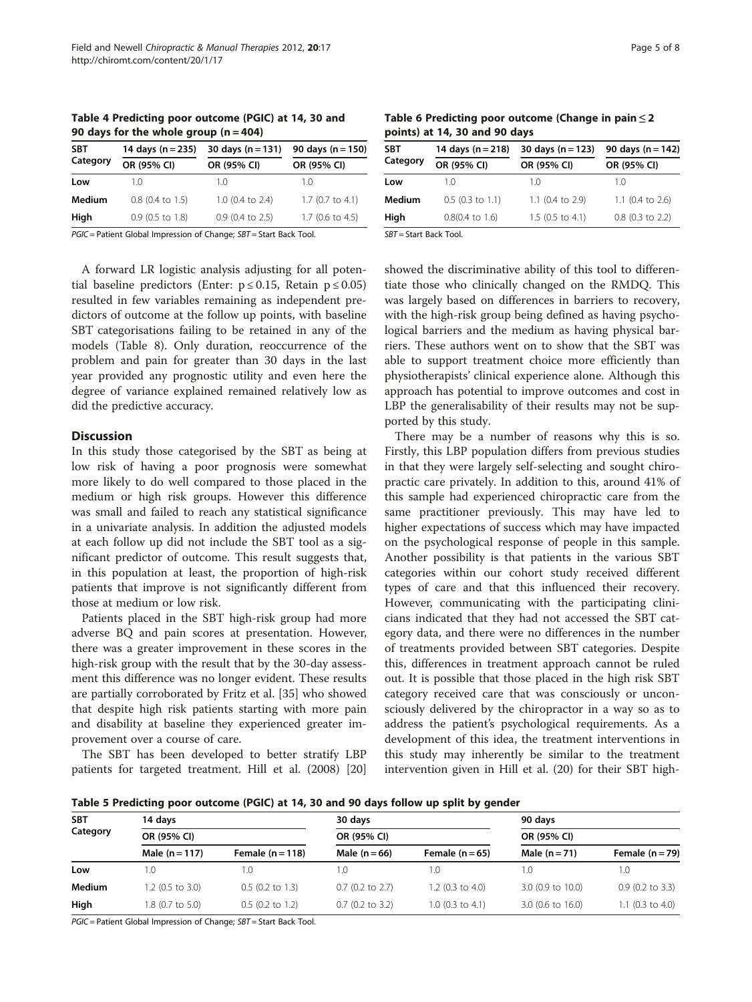<span id="page-4-0"></span>Table 4 Predicting poor outcome (PGIC) at 14, 30 and 90 days for the whole group  $(n = 404)$ 

| <b>SBT</b> | 14 days $(n = 235)$ | 30 days $(n = 131)$ | 90 days $(n = 150)$<br>OR (95% CI) |  |
|------------|---------------------|---------------------|------------------------------------|--|
| Category   | OR (95% CI)         | OR (95% CI)         |                                    |  |
| Low        | 1.0                 | 1.0                 | 1.0                                |  |
| Medium     | $0.8$ (0.4 to 1.5)  | $1.0$ (0.4 to 2.4)  | $1.7$ (0.7 to 4.1)                 |  |
| High       | $0.9$ (0.5 to 1.8)  | $0.9$ (0.4 to 2.5)  | $1.7$ (0.6 to 4.5)                 |  |
|            |                     |                     |                                    |  |

PGIC = Patient Global Impression of Change: SBT = Start Back Tool.

Table 6 Predicting poor outcome (Change in pain  $\leq$  2 points) at 14, 30 and 90 days

| <b>SBT</b>    | 14 days $(n = 218)$        | 30 days (n = 123)           | 90 days $(n = 142)$<br>OR (95% CI) |  |
|---------------|----------------------------|-----------------------------|------------------------------------|--|
| Category      | OR (95% CI)                | OR (95% CI)                 |                                    |  |
| Low           | 10                         | 10                          | 1.0                                |  |
| <b>Medium</b> | $0.5$ (0.3 to 1.1)         | 1.1 $(0.4 \text{ to } 2.9)$ | 1.1 $(0.4 \text{ to } 2.6)$        |  |
| High          | $0.8(0.4 \text{ to } 1.6)$ | $1.5$ (0.5 to 4.1)          | $0.8$ (0.3 to 2.2)                 |  |
|               |                            |                             |                                    |  |

SBT = Start Back Tool.

A forward LR logistic analysis adjusting for all potential baseline predictors (Enter:  $p \le 0.15$ , Retain  $p \le 0.05$ ) resulted in few variables remaining as independent predictors of outcome at the follow up points, with baseline SBT categorisations failing to be retained in any of the models (Table [8](#page-5-0)). Only duration, reoccurrence of the problem and pain for greater than 30 days in the last year provided any prognostic utility and even here the degree of variance explained remained relatively low as did the predictive accuracy.

#### **Discussion**

In this study those categorised by the SBT as being at low risk of having a poor prognosis were somewhat more likely to do well compared to those placed in the medium or high risk groups. However this difference was small and failed to reach any statistical significance in a univariate analysis. In addition the adjusted models at each follow up did not include the SBT tool as a significant predictor of outcome. This result suggests that, in this population at least, the proportion of high-risk patients that improve is not significantly different from those at medium or low risk.

Patients placed in the SBT high-risk group had more adverse BQ and pain scores at presentation. However, there was a greater improvement in these scores in the high-risk group with the result that by the 30-day assessment this difference was no longer evident. These results are partially corroborated by Fritz et al. [[35\]](#page-7-0) who showed that despite high risk patients starting with more pain and disability at baseline they experienced greater improvement over a course of care.

The SBT has been developed to better stratify LBP patients for targeted treatment. Hill et al. (2008) [[20](#page-6-0)]

showed the discriminative ability of this tool to differentiate those who clinically changed on the RMDQ. This was largely based on differences in barriers to recovery, with the high-risk group being defined as having psychological barriers and the medium as having physical barriers. These authors went on to show that the SBT was able to support treatment choice more efficiently than physiotherapists' clinical experience alone. Although this approach has potential to improve outcomes and cost in LBP the generalisability of their results may not be supported by this study.

There may be a number of reasons why this is so. Firstly, this LBP population differs from previous studies in that they were largely self-selecting and sought chiropractic care privately. In addition to this, around 41% of this sample had experienced chiropractic care from the same practitioner previously. This may have led to higher expectations of success which may have impacted on the psychological response of people in this sample. Another possibility is that patients in the various SBT categories within our cohort study received different types of care and that this influenced their recovery. However, communicating with the participating clinicians indicated that they had not accessed the SBT category data, and there were no differences in the number of treatments provided between SBT categories. Despite this, differences in treatment approach cannot be ruled out. It is possible that those placed in the high risk SBT category received care that was consciously or unconsciously delivered by the chiropractor in a way so as to address the patient's psychological requirements. As a development of this idea, the treatment interventions in this study may inherently be similar to the treatment intervention given in Hill et al. (20) for their SBT high-

Table 5 Predicting poor outcome (PGIC) at 14, 30 and 90 days follow up split by gender

| <b>SBT</b> | 14 days            |                    | 30 days            |                    | 90 days             |                             |
|------------|--------------------|--------------------|--------------------|--------------------|---------------------|-----------------------------|
| Category   | OR (95% CI)        |                    | OR (95% CI)        |                    | OR (95% CI)         |                             |
|            | Male $(n = 117)$   | Female $(n = 118)$ | Male $(n=66)$      | Female $(n=65)$    | Male $(n=71)$       | Female $(n = 79)$           |
| Low        | 1.0                | $\Omega$           | l .O               | 1.0                | 1.0                 | 1.0                         |
| Medium     | $1.2$ (0.5 to 3.0) | $0.5$ (0.2 to 1.3) | $0.7$ (0.2 to 2.7) | $1.2$ (0.3 to 4.0) | 3.0 (0.9 to 10.0)   | $0.9$ (0.2 to 3.3)          |
| High       | $1.8$ (0.7 to 5.0) | $0.5$ (0.2 to 1.2) | $0.7$ (0.2 to 3.2) | $1.0$ (0.3 to 4.1) | $3.0$ (0.6 to 16.0) | 1.1 $(0.3 \text{ to } 4.0)$ |

PGIC = Patient Global Impression of Change; SBT = Start Back Tool.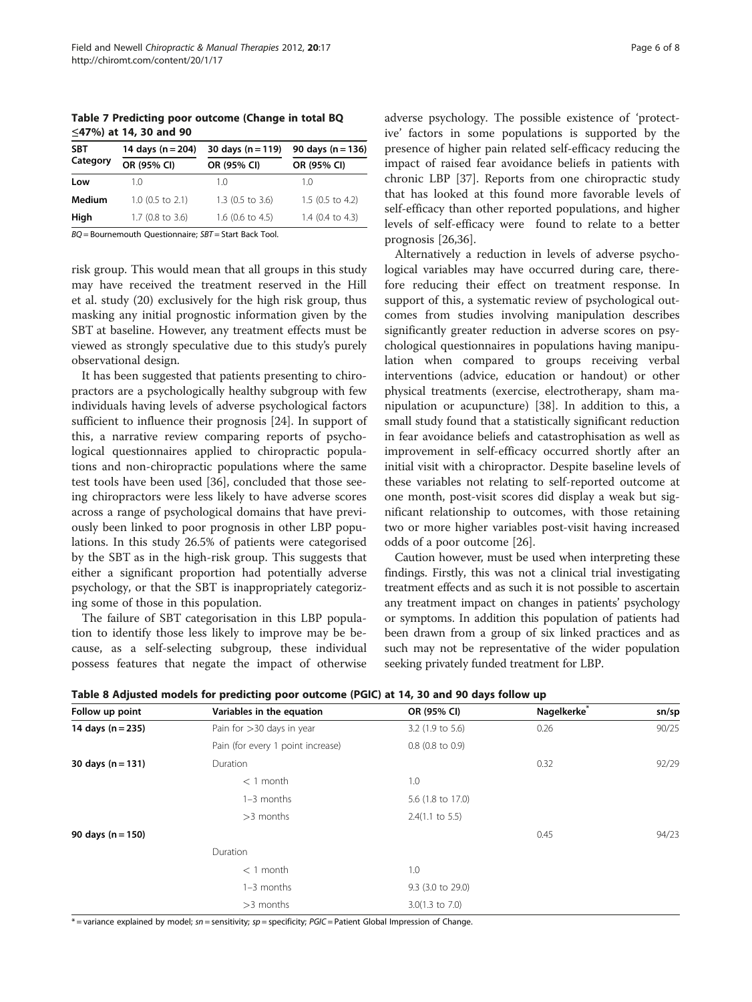<span id="page-5-0"></span>Table 7 Predicting poor outcome (Change in total BQ ≤47%) at 14, 30 and 90

| 14 days $(n = 204)$ | 30 days $(n = 119)$         | 90 days $(n = 136)$         |  |
|---------------------|-----------------------------|-----------------------------|--|
| OR (95% CI)         | OR (95% CI)                 | OR (95% CI)                 |  |
| 10                  | 10                          | 10                          |  |
| $1.0$ (0.5 to 2.1)  | 1.3 (0.5 to 3.6)            | $1.5$ (0.5 to 4.2)          |  |
| $1.7$ (0.8 to 3.6)  | 1.6 $(0.6 \text{ to } 4.5)$ | 1.4 $(0.4 \text{ to } 4.3)$ |  |
|                     |                             |                             |  |

BQ = Bournemouth Questionnaire; SBT = Start Back Tool.

risk group. This would mean that all groups in this study may have received the treatment reserved in the Hill et al. study (20) exclusively for the high risk group, thus masking any initial prognostic information given by the SBT at baseline. However, any treatment effects must be viewed as strongly speculative due to this study's purely observational design.

It has been suggested that patients presenting to chiropractors are a psychologically healthy subgroup with few individuals having levels of adverse psychological factors sufficient to influence their prognosis [[24](#page-6-0)]. In support of this, a narrative review comparing reports of psychological questionnaires applied to chiropractic populations and non-chiropractic populations where the same test tools have been used [[36](#page-7-0)], concluded that those seeing chiropractors were less likely to have adverse scores across a range of psychological domains that have previously been linked to poor prognosis in other LBP populations. In this study 26.5% of patients were categorised by the SBT as in the high-risk group. This suggests that either a significant proportion had potentially adverse psychology, or that the SBT is inappropriately categorizing some of those in this population.

The failure of SBT categorisation in this LBP population to identify those less likely to improve may be because, as a self-selecting subgroup, these individual possess features that negate the impact of otherwise adverse psychology. The possible existence of 'protective' factors in some populations is supported by the presence of higher pain related self-efficacy reducing the impact of raised fear avoidance beliefs in patients with chronic LBP [\[37](#page-7-0)]. Reports from one chiropractic study that has looked at this found more favorable levels of self-efficacy than other reported populations, and higher levels of self-efficacy were found to relate to a better prognosis [\[26](#page-6-0)[,36\]](#page-7-0).

Alternatively a reduction in levels of adverse psychological variables may have occurred during care, therefore reducing their effect on treatment response. In support of this, a systematic review of psychological outcomes from studies involving manipulation describes significantly greater reduction in adverse scores on psychological questionnaires in populations having manipulation when compared to groups receiving verbal interventions (advice, education or handout) or other physical treatments (exercise, electrotherapy, sham manipulation or acupuncture) [\[38\]](#page-7-0). In addition to this, a small study found that a statistically significant reduction in fear avoidance beliefs and catastrophisation as well as improvement in self-efficacy occurred shortly after an initial visit with a chiropractor. Despite baseline levels of these variables not relating to self-reported outcome at one month, post-visit scores did display a weak but significant relationship to outcomes, with those retaining two or more higher variables post-visit having increased odds of a poor outcome [\[26\]](#page-6-0).

Caution however, must be used when interpreting these findings. Firstly, this was not a clinical trial investigating treatment effects and as such it is not possible to ascertain any treatment impact on changes in patients' psychology or symptoms. In addition this population of patients had been drawn from a group of six linked practices and as such may not be representative of the wider population seeking privately funded treatment for LBP.

Table 8 Adjusted models for predicting poor outcome (PGIC) at 14, 30 and 90 days follow up

| Follow up point     | Variables in the equation         | OR (95% CI)                | Nagelkerke <sup>*</sup> | sn/sp |
|---------------------|-----------------------------------|----------------------------|-------------------------|-------|
| 14 days $(n = 235)$ | Pain for $>$ 30 days in year      | 3.2 (1.9 to 5.6)           | 0.26                    | 90/25 |
|                     | Pain (for every 1 point increase) | $0.8$ (0.8 to 0.9)         |                         |       |
| 30 days $(n = 131)$ | Duration                          |                            | 0.32                    | 92/29 |
|                     | $<$ 1 month                       | 1.0                        |                         |       |
|                     | $1-3$ months                      | 5.6 (1.8 to 17.0)          |                         |       |
|                     | $>3$ months                       | $2.4(1.1 \text{ to } 5.5)$ |                         |       |
| 90 days $(n = 150)$ |                                   |                            | 0.45                    | 94/23 |
|                     | Duration                          |                            |                         |       |
|                     | $<$ 1 month                       | 1.0                        |                         |       |
|                     | $1-3$ months                      | 9.3 (3.0 to 29.0)          |                         |       |
|                     | $>3$ months                       | $3.0(1.3 \text{ to } 7.0)$ |                         |       |

 $*$  = variance explained by model; sn = sensitivity; sp = specificity; PGIC = Patient Global Impression of Change.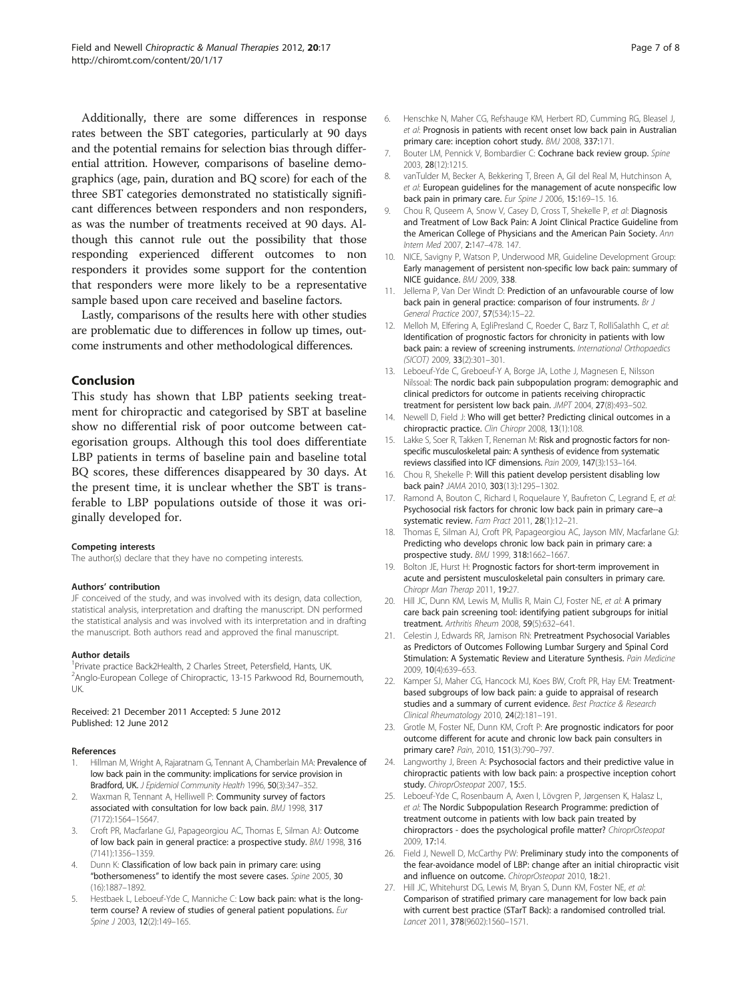<span id="page-6-0"></span>Additionally, there are some differences in response rates between the SBT categories, particularly at 90 days and the potential remains for selection bias through differential attrition. However, comparisons of baseline demographics (age, pain, duration and BQ score) for each of the three SBT categories demonstrated no statistically significant differences between responders and non responders, as was the number of treatments received at 90 days. Although this cannot rule out the possibility that those responding experienced different outcomes to non responders it provides some support for the contention that responders were more likely to be a representative sample based upon care received and baseline factors.

Lastly, comparisons of the results here with other studies are problematic due to differences in follow up times, outcome instruments and other methodological differences.

#### Conclusion

This study has shown that LBP patients seeking treatment for chiropractic and categorised by SBT at baseline show no differential risk of poor outcome between categorisation groups. Although this tool does differentiate LBP patients in terms of baseline pain and baseline total BQ scores, these differences disappeared by 30 days. At the present time, it is unclear whether the SBT is transferable to LBP populations outside of those it was originally developed for.

#### Competing interests

The author(s) declare that they have no competing interests.

#### Authors' contribution

JF conceived of the study, and was involved with its design, data collection, statistical analysis, interpretation and drafting the manuscript. DN performed the statistical analysis and was involved with its interpretation and in drafting the manuscript. Both authors read and approved the final manuscript.

#### Author details

<sup>1</sup> Private practice Back2Health, 2 Charles Street, Petersfield, Hants, UK. <sup>2</sup>Anglo-European College of Chiropractic, 13-15 Parkwood Rd, Bournemouth, UK.

Received: 21 December 2011 Accepted: 5 June 2012 Published: 12 June 2012

#### References

- 1. Hillman M, Wright A, Rajaratnam G, Tennant A, Chamberlain MA: Prevalence of low back pain in the community: implications for service provision in Bradford, UK. J Epidemiol Community Health 1996, 50(3):347-352.
- 2. Waxman R, Tennant A, Helliwell P: Community survey of factors associated with consultation for low back pain. BMJ 1998, 317 (7172):1564–15647.
- 3. Croft PR, Macfarlane GJ, Papageorgiou AC, Thomas E, Silman AJ: Outcome of low back pain in general practice: a prospective study. BMJ 1998, 316 (7141):1356–1359.
- Dunn K: Classification of low back pain in primary care: using "bothersomeness" to identify the most severe cases. Spine 2005, 30 (16):1887–1892.
- Hestbaek L, Leboeuf-Yde C, Manniche C: Low back pain: what is the longterm course? A review of studies of general patient populations. Eur Spine J 2003, 12(2):149-165.
- 6. Henschke N, Maher CG, Refshauge KM, Herbert RD, Cumming RG, Bleasel J, et al: Prognosis in patients with recent onset low back pain in Australian primary care: inception cohort study. BMJ 2008, 337:171
- 7. Bouter LM, Pennick V, Bombardier C: Cochrane back review group. Spine 2003, 28(12):1215.
- 8. vanTulder M, Becker A, Bekkering T, Breen A, Gil del Real M, Hutchinson A, et al: European guidelines for the management of acute nonspecific low back pain in primary care. Eur Spine J 2006, 15:169-15. 16.
- 9. Chou R, Quseem A, Snow V, Casey D, Cross T, Shekelle P, et al: Diagnosis and Treatment of Low Back Pain: A Joint Clinical Practice Guideline from the American College of Physicians and the American Pain Society. Ann Intern Med 2007, 2:147–478. 147.
- 10. NICE, Savigny P, Watson P, Underwood MR, Guideline Development Group: Early management of persistent non-specific low back pain: summary of NICE guidance. BMJ 2009, 338.
- 11. Jellema P, Van Der Windt D: Prediction of an unfavourable course of low back pain in general practice: comparison of four instruments. Br J General Practice 2007, 57(534):15–22.
- 12. Melloh M, Elfering A, EgliPresland C, Roeder C, Barz T, RolliSalathh C, et al: Identification of prognostic factors for chronicity in patients with low back pain: a review of screening instruments. International Orthopaedics (SICOT) 2009, 33(2):301–301.
- 13. Leboeuf-Yde C, Greboeuf-Y A, Borge JA, Lothe J, Magnesen E, Nilsson Nilssoal: The nordic back pain subpopulation program: demographic and clinical predictors for outcome in patients receiving chiropractic treatment for persistent low back pain. JMPT 2004, 27(8):493–502.
- 14. Newell D, Field J: Who will get better? Predicting clinical outcomes in a chiropractic practice. Clin Chiropr 2008, 13(1):108.
- 15. Lakke S, Soer R, Takken T, Reneman M: Risk and prognostic factors for nonspecific musculoskeletal pain: A synthesis of evidence from systematic reviews classified into ICF dimensions. Pain 2009, 147(3):153–164.
- 16. Chou R, Shekelle P: Will this patient develop persistent disabling low back pain? JAMA 2010, 303(13):1295–1302.
- 17. Ramond A, Bouton C, Richard I, Roquelaure Y, Baufreton C, Legrand E, et al: Psychosocial risk factors for chronic low back pain in primary care--a systematic review. Fam Pract 2011, 28(1):12–21.
- 18. Thomas E, Silman AJ, Croft PR, Papageorgiou AC, Jayson MIV, Macfarlane GJ: Predicting who develops chronic low back pain in primary care: a prospective study. BMJ 1999, 318:1662–1667.
- 19. Bolton JE, Hurst H: Prognostic factors for short-term improvement in acute and persistent musculoskeletal pain consulters in primary care. Chiropr Man Therap 2011, 19:27.
- 20. Hill JC, Dunn KM, Lewis M, Mullis R, Main CJ, Foster NE, et al: A primary care back pain screening tool: identifying patient subgroups for initial treatment. Arthritis Rheum 2008, 59(5):632–641.
- 21. Celestin J, Edwards RR, Jamison RN: Pretreatment Psychosocial Variables as Predictors of Outcomes Following Lumbar Surgery and Spinal Cord Stimulation: A Systematic Review and Literature Synthesis. Pain Medicine 2009, 10(4):639–653.
- 22. Kamper SJ, Maher CG, Hancock MJ, Koes BW, Croft PR, Hay EM: Treatmentbased subgroups of low back pain: a guide to appraisal of research studies and a summary of current evidence. Best Practice & Research Clinical Rheumatology 2010, 24(2):181–191.
- 23. Grotle M, Foster NE, Dunn KM, Croft P: Are prognostic indicators for poor outcome different for acute and chronic low back pain consulters in primary care? Pain, 2010, 151(3):790–797.
- 24. Langworthy J, Breen A: Psychosocial factors and their predictive value in chiropractic patients with low back pain: a prospective inception cohort study. ChiroprOsteopat 2007, 15:5.
- 25. Leboeuf-Yde C, Rosenbaum A, Axen I, Lövgren P, Jørgensen K, Halasz L, et al: The Nordic Subpopulation Research Programme: prediction of treatment outcome in patients with low back pain treated by chiropractors - does the psychological profile matter? ChiroprOsteopat 2009, 17:14.
- 26. Field J, Newell D, McCarthy PW: Preliminary study into the components of the fear-avoidance model of LBP: change after an initial chiropractic visit and influence on outcome. ChiroprOsteopat 2010, 18:21.
- 27. Hill JC, Whitehurst DG, Lewis M, Bryan S, Dunn KM, Foster NE, et al: Comparison of stratified primary care management for low back pain with current best practice (STarT Back): a randomised controlled trial. Lancet 2011, 378(9602):1560–1571.